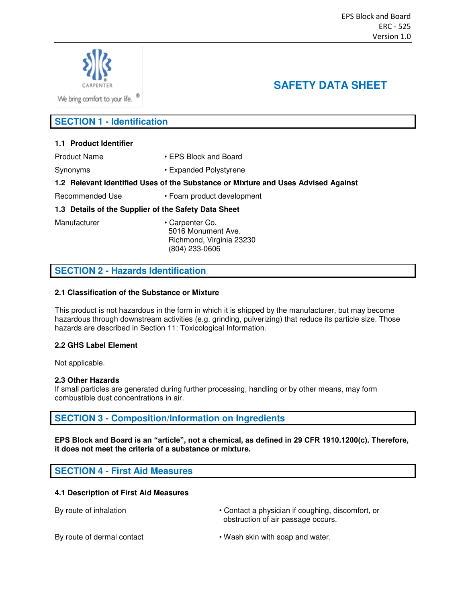

**SAFETY DATA SHEET** 

We bring comfort to your life. <sup>®</sup>

# **SECTION 1 - Identification**

## **1.1 Product Identifier**

Product Name • FPS Block and Board

Synonyms • Expanded Polystyrene

#### **1.2 Relevant Identified Uses of the Substance or Mixture and Uses Advised Against**

Recommended Use • Foam product development

## **1.3 Details of the Supplier of the Safety Data Sheet**

Manufacturer • Carpenter Co. 5016 Monument Ave. Richmond, Virginia 23230 (804) 233-0606

# **SECTION 2 - Hazards Identification**

## **2.1 Classification of the Substance or Mixture**

This product is not hazardous in the form in which it is shipped by the manufacturer, but may become hazardous through downstream activities (e.g. grinding, pulverizing) that reduce its particle size. Those hazards are described in Section 11: Toxicological Information.

# **2.2 GHS Label Element**

Not applicable.

#### **2.3 Other Hazards**

If small particles are generated during further processing, handling or by other means, may form combustible dust concentrations in air.

# **SECTION 3 - Composition/Information on Ingredients**

**EPS Block and Board is an "article", not a chemical, as defined in 29 CFR 1910.1200(c). Therefore, it does not meet the criteria of a substance or mixture.**

**SECTION 4 - First Aid Measures** 

#### **4.1 Description of First Aid Measures**

By route of inhalation **• Contact a physician if coughing, discomfort, or •** Contact a physician if coughing, discomfort, or obstruction of air passage occurs.

By route of dermal contact • Wash skin with soap and water.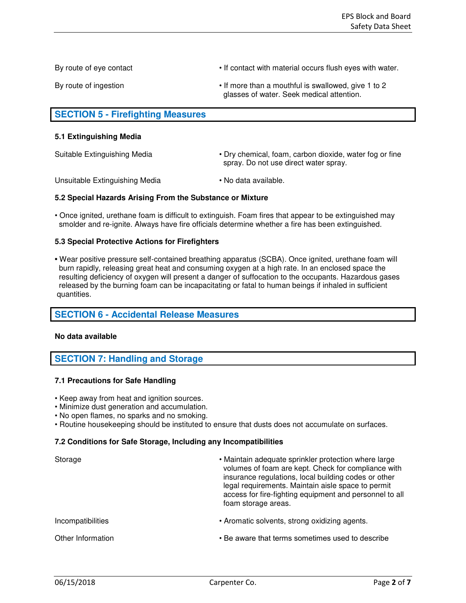By route of eye contact **Fig. 2018** • If contact with material occurs flush eyes with water.

By route of ingestion **Fig. 2 •** If more than a mouthful is swallowed, give 1 to 2 glasses of water. Seek medical attention.

# **SECTION 5 - Firefighting Measures**

#### **5.1 Extinguishing Media**

Suitable Extinguishing Media **•** Dry chemical, foam, carbon dioxide, water fog or fine spray. Do not use direct water spray.

Unsuitable Extinguishing Media • No data available.

#### **5.2 Special Hazards Arising From the Substance or Mixture**

• Once ignited, urethane foam is difficult to extinguish. Foam fires that appear to be extinguished may smolder and re-ignite. Always have fire officials determine whether a fire has been extinguished.

## **5.3 Special Protective Actions for Firefighters**

**•** Wear positive pressure self-contained breathing apparatus (SCBA). Once ignited, urethane foam will burn rapidly, releasing great heat and consuming oxygen at a high rate. In an enclosed space the resulting deficiency of oxygen will present a danger of suffocation to the occupants. Hazardous gases released by the burning foam can be incapacitating or fatal to human beings if inhaled in sufficient quantities.

# **SECTION 6 - Accidental Release Measures**

#### **No data available**

# **SECTION 7: Handling and Storage**

#### **7.1 Precautions for Safe Handling**

- Keep away from heat and ignition sources.
- Minimize dust generation and accumulation.
- No open flames, no sparks and no smoking.
- Routine housekeeping should be instituted to ensure that dusts does not accumulate on surfaces.

#### **7.2 Conditions for Safe Storage, Including any Incompatibilities**

| Storage           | • Maintain adequate sprinkler protection where large<br>volumes of foam are kept. Check for compliance with<br>insurance regulations, local building codes or other<br>legal requirements. Maintain aisle space to permit<br>access for fire-fighting equipment and personnel to all<br>foam storage areas. |
|-------------------|-------------------------------------------------------------------------------------------------------------------------------------------------------------------------------------------------------------------------------------------------------------------------------------------------------------|
| Incompatibilities | • Aromatic solvents, strong oxidizing agents.                                                                                                                                                                                                                                                               |
| Other Information | • Be aware that terms sometimes used to describe                                                                                                                                                                                                                                                            |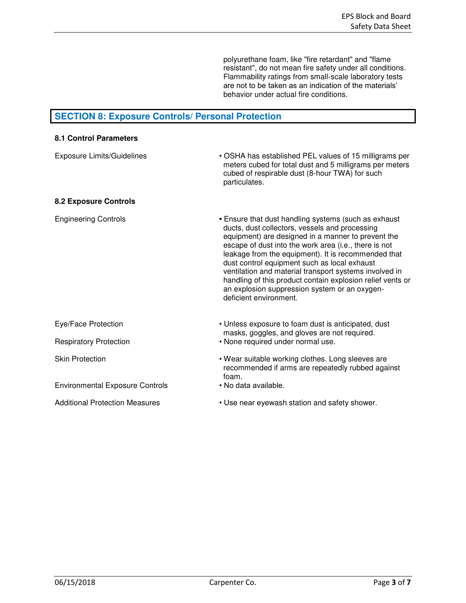polyurethane foam, like "fire retardant" and "flame resistant", do not mean fire safety under all conditions. Flammability ratings from small-scale laboratory tests are not to be taken as an indication of the materials' behavior under actual fire conditions.

# **SECTION 8: Exposure Controls/ Personal Protection**

| • OSHA has established PEL values of 15 milligrams per<br>meters cubed for total dust and 5 milligrams per meters<br>cubed of respirable dust (8-hour TWA) for such<br>particulates.                                                                                                                                                                                                                                                                                                                                            |
|---------------------------------------------------------------------------------------------------------------------------------------------------------------------------------------------------------------------------------------------------------------------------------------------------------------------------------------------------------------------------------------------------------------------------------------------------------------------------------------------------------------------------------|
|                                                                                                                                                                                                                                                                                                                                                                                                                                                                                                                                 |
| • Ensure that dust handling systems (such as exhaust<br>ducts, dust collectors, vessels and processing<br>equipment) are designed in a manner to prevent the<br>escape of dust into the work area (i.e., there is not<br>leakage from the equipment). It is recommended that<br>dust control equipment such as local exhaust<br>ventilation and material transport systems involved in<br>handling of this product contain explosion relief vents or<br>an explosion suppression system or an oxygen-<br>deficient environment. |
| • Unless exposure to foam dust is anticipated, dust<br>masks, goggles, and gloves are not required.                                                                                                                                                                                                                                                                                                                                                                                                                             |
| • None required under normal use.                                                                                                                                                                                                                                                                                                                                                                                                                                                                                               |
| • Wear suitable working clothes. Long sleeves are<br>recommended if arms are repeatedly rubbed against<br>foam.                                                                                                                                                                                                                                                                                                                                                                                                                 |
| • No data available.                                                                                                                                                                                                                                                                                                                                                                                                                                                                                                            |
| • Use near eyewash station and safety shower.                                                                                                                                                                                                                                                                                                                                                                                                                                                                                   |
|                                                                                                                                                                                                                                                                                                                                                                                                                                                                                                                                 |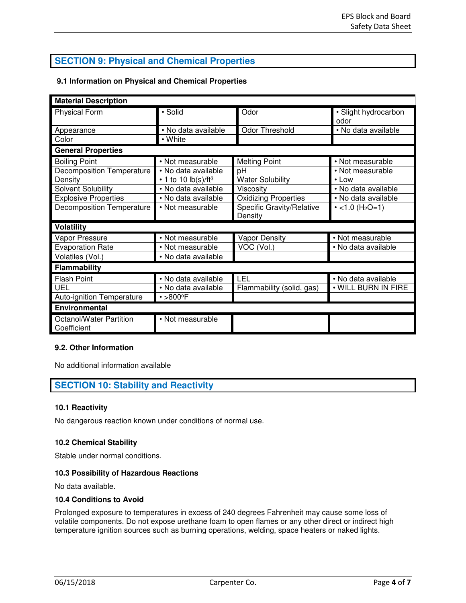# **SECTION 9: Physical and Chemical Properties**

# **9.1 Information on Physical and Chemical Properties**

| <b>Material Description</b>            |                        |                                      |                                   |  |  |
|----------------------------------------|------------------------|--------------------------------------|-----------------------------------|--|--|
| <b>Physical Form</b>                   | · Solid                | Odor                                 | · Slight hydrocarbon<br>odor      |  |  |
| Appearance                             | · No data available    | Odor Threshold                       | · No data available               |  |  |
| Color                                  | • White                |                                      |                                   |  |  |
| <b>General Properties</b>              |                        |                                      |                                   |  |  |
| <b>Boiling Point</b>                   | • Not measurable       | <b>Melting Point</b>                 | • Not measurable                  |  |  |
| <b>Decomposition Temperature</b>       | • No data available    | рH                                   | • Not measurable                  |  |  |
| Density                                | • 1 to 10 $lb(s)/ft^3$ | <b>Water Solubility</b>              | $\cdot$ Low                       |  |  |
| Solvent Solubility                     | · No data available    | Viscosity                            | • No data available               |  |  |
| <b>Explosive Properties</b>            | • No data available    | <b>Oxidizing Properties</b>          | • No data available               |  |  |
| <b>Decomposition Temperature</b>       | • Not measurable       | Specific Gravity/Relative<br>Density | $\cdot$ <1.0 (H <sub>2</sub> O=1) |  |  |
| <b>Volatility</b>                      |                        |                                      |                                   |  |  |
| Vapor Pressure                         | • Not measurable       | <b>Vapor Density</b>                 | • Not measurable                  |  |  |
| <b>Evaporation Rate</b>                | • Not measurable       | VOC (Vol.)                           | • No data available               |  |  |
| Volatiles (Vol.)                       | • No data available    |                                      |                                   |  |  |
| <b>Flammability</b>                    |                        |                                      |                                   |  |  |
| <b>Flash Point</b>                     | • No data available    | LEL                                  | • No data available               |  |  |
| UEL                                    | • No data available    | Flammability (solid, gas)            | . WILL BURN IN FIRE               |  |  |
| Auto-ignition Temperature              | $\cdot$ >800°F         |                                      |                                   |  |  |
| Environmental                          |                        |                                      |                                   |  |  |
| Octanol/Water Partition<br>Coefficient | • Not measurable       |                                      |                                   |  |  |

## **9.2. Other Information**

No additional information available

# **SECTION 10: Stability and Reactivity**

#### **10.1 Reactivity**

No dangerous reaction known under conditions of normal use.

#### **10.2 Chemical Stability**

Stable under normal conditions.

# **10.3 Possibility of Hazardous Reactions**

No data available.

# **10.4 Conditions to Avoid**

Prolonged exposure to temperatures in excess of 240 degrees Fahrenheit may cause some loss of volatile components. Do not expose urethane foam to open flames or any other direct or indirect high temperature ignition sources such as burning operations, welding, space heaters or naked lights.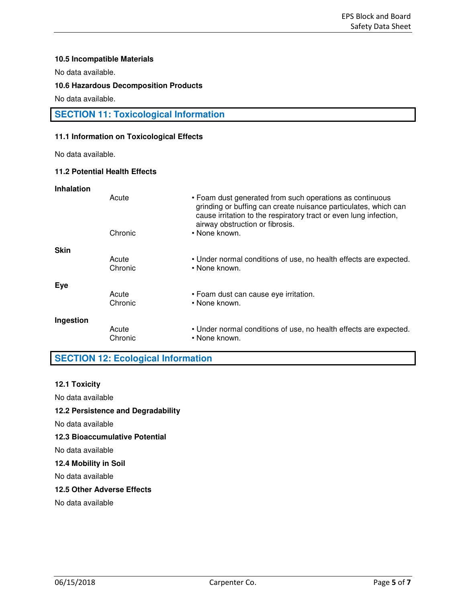### **10.5 Incompatible Materials**

No data available.

## **10.6 Hazardous Decomposition Products**

No data available.

# **SECTION 11: Toxicological Information**

## **11.1 Information on Toxicological Effects**

No data available.

## **11.2 Potential Health Effects**

| <b>Inhalation</b> |                  |                                                                                                                                                                                                                                     |
|-------------------|------------------|-------------------------------------------------------------------------------------------------------------------------------------------------------------------------------------------------------------------------------------|
|                   | Acute            | • Foam dust generated from such operations as continuous<br>grinding or buffing can create nuisance particulates, which can<br>cause irritation to the respiratory tract or even lung infection,<br>airway obstruction or fibrosis. |
|                   | Chronic          | • None known.                                                                                                                                                                                                                       |
| <b>Skin</b>       |                  |                                                                                                                                                                                                                                     |
|                   | Acute<br>Chronic | • Under normal conditions of use, no health effects are expected.<br>• None known.                                                                                                                                                  |
| Eye               |                  |                                                                                                                                                                                                                                     |
|                   | Acute<br>Chronic | • Foam dust can cause eye irritation.<br>• None known.                                                                                                                                                                              |
| Ingestion         |                  |                                                                                                                                                                                                                                     |
|                   | Acute<br>Chronic | • Under normal conditions of use, no health effects are expected.<br>• None known.                                                                                                                                                  |

# **SECTION 12: Ecological Information**

#### **12.1 Toxicity**

No data available

#### **12.2 Persistence and Degradability**

No data available

#### **12.3 Bioaccumulative Potential**

No data available

# **12.4 Mobility in Soil**

No data available

# **12.5 Other Adverse Effects**

No data available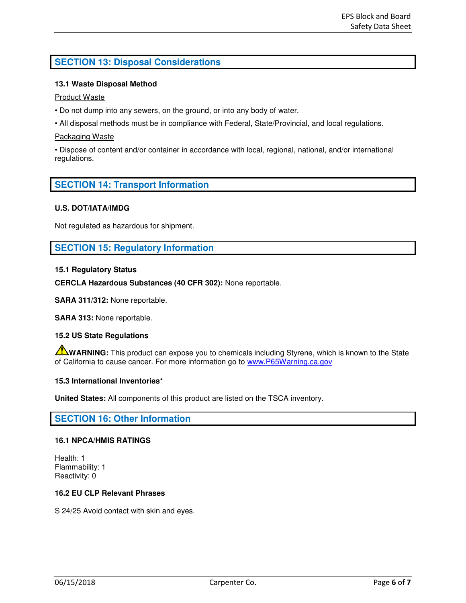# **SECTION 13: Disposal Considerations**

# **13.1 Waste Disposal Method**

#### Product Waste

- Do not dump into any sewers, on the ground, or into any body of water.
- All disposal methods must be in compliance with Federal, State/Provincial, and local regulations.

#### Packaging Waste

• Dispose of content and/or container in accordance with local, regional, national, and/or international regulations.

# **SECTION 14: Transport Information**

## **U.S. DOT/IATA/IMDG**

Not regulated as hazardous for shipment.

# **SECTION 15: Regulatory Information**

## **15.1 Regulatory Status**

**CERCLA Hazardous Substances (40 CFR 302):** None reportable.

**SARA 311/312:** None reportable.

**SARA 313:** None reportable.

#### **15.2 US State Regulations**

**WARNING:** This product can expose you to chemicals including Styrene, which is known to the State of California to cause cancer. For more information go to [www.P65Warning.ca.gov](http://www.p65warning.ca.gov/)

#### **15.3 International Inventories\***

**United States:** All components of this product are listed on the TSCA inventory.

# **SECTION 16: Other Information**

#### **16.1 NPCA/HMIS RATINGS**

Health: 1 Flammability: 1 Reactivity: 0

### **16.2 EU CLP Relevant Phrases**

S 24/25 Avoid contact with skin and eyes.